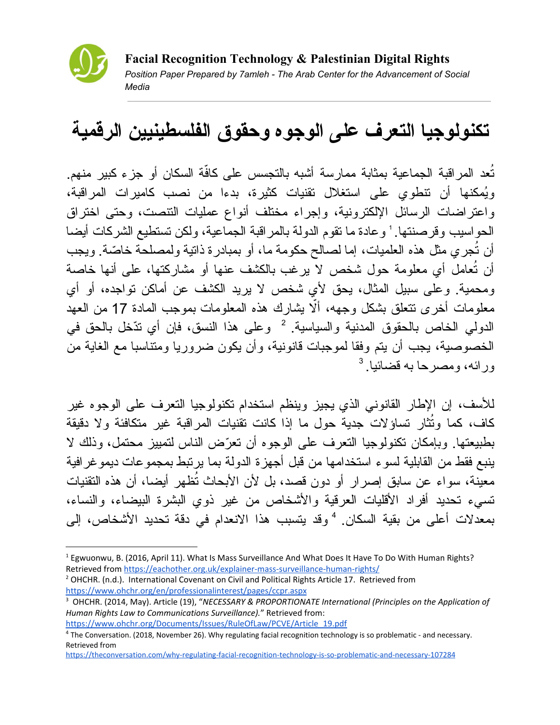

## **تكنولوجیا التعرف على الوجوه وحقوق الفلسطینیین الرقمیة**

تُعد المراقبة الجماعية بمثابة ممارسة أشبه بالنجسس على كافّة السكان أو جزء كبير منهم. وُیمكنها أن تنطوي على استغلال تقنیات كثیرة، بدءا من نصب كامیرات المراقبة، واعتراضات الرسائل الإلكترونیة، وإجراء مختلف أنواع عملیات التنصت، وحتى اختراق الحواسيب وقرصنتها. ' وعادة ما نقوم الدولة بالمر اقبة الجماعية، ولكن تستطيع الشركات أيضا أن تُجري مثل هذه العلمیات، إما لصالح حكومة ما، أو بمبادرة ذاتیة ولمصلحة خا ّصة. ویجب عامل أي معلومة حول شخص لا یرغب بالكشف عنها أو مشاركتها، على أنها خاصة أن تُ ومحمیة. وعلى سبیل المثال، یحق لأي شخص لا یرید الكشف عن أماكن تواجده، أو أي معلومات أخرى نتعلق بشكل وجهه، ألّا يشارك هذه المعلومات بموجب المادة 17 من العهد الدولي الخاص بالحقوق المدنية والسياسية. <sup>2</sup> وعلى هذا النسق، فإن أي تدّخل بالحق في الخصوصیة، یجب أن یتم وفقا لموجبات قانونیة، وأن یكون ضروریا ومتناسبا مع الغایة من ورائه، ومصرحا به قضائیا. 3

للأسف، إن الإطار القانوني الذي یجیز وینظم استخدام تكنولوجیا التعرف على الوجوه غیر كاف، كما وتُثّار تساؤلات جدية حول ما إذا كانت تقنيات المراقبة غير متكافئة ولا دقيقة بطبیعتها. وبإمكان تكنولوجیا التعرف على الوجوه أن تعّرض الناس لتمییز محتمل، وذلك لا ینبع فقط من القابلیة لسوء استخدامها من قبل أجهزة الدولة بما یرتبط بمجموعات دیموغرافیة معینة، سواء عن سابق إصرار أو دون قصد، بل لأن الأبحاث تُظهر أیضا، أن هذه التقنیات تسيء تحدید أفراد الأقلیات العرقیة والأشخاص من غیر ذوي البشرة البیضاء، والنساء، بمعدلات أعلى من بقية السكان. <sup>4</sup> وقد يتسبب هذا الانعدام في دقة تحديد الأشخاص، إلى

<sup>2</sup> OHCHR. (n.d.). International Covenant on Civil and Political Rights Article 17. Retrieved from <https://www.ohchr.org/en/professionalinterest/pages/ccpr.aspx>

<sup>1</sup> Egwuonwu, B. (2016, April 11). What Is Mass Surveillance And What Does It Have To Do With Human Rights? Retrieved from <https://eachother.org.uk/explainer-mass-surveillance-human-rights/>

<sup>3</sup> OHCHR. (2014, May). Article (19), "*NECESSARY & PROPORTIONATE International (Principles on the Application of Human Rights Law to Communications Surveillance).*" Retrieved from: [https://www.ohchr.org/Documents/Issues/RuleOfLaw/PCVE/Article\\_19.pdf](https://www.ohchr.org/Documents/Issues/RuleOfLaw/PCVE/Article_19.pdf)

<sup>4</sup> The Conversation. (2018, November 26). Why regulating facial recognition technology is so problematic - and necessary. Retrieved from

<https://theconversation.com/why-regulating-facial-recognition-technology-is-so-problematic-and-necessary-107284>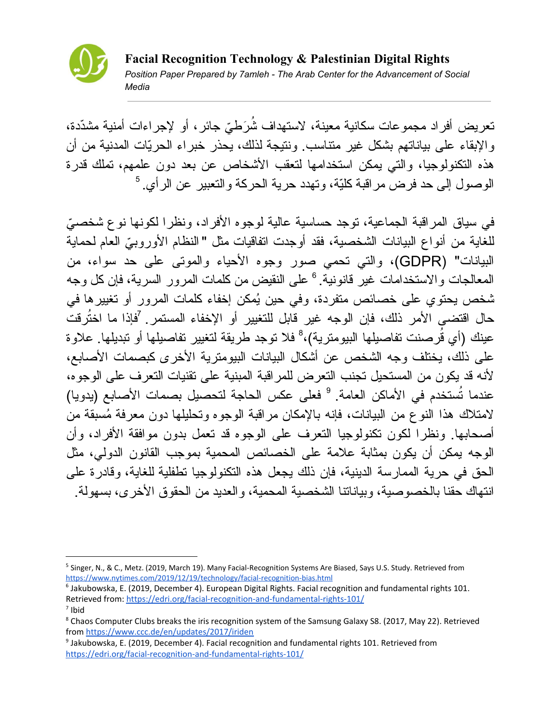

تعریض أفراد مجموعات سكانیة معینة، لاستهداف شُرَطيّ جائر، أو لإجراءات أمنیة مشدّدة، والإبقاء على بیاناتهم بشكل غیر متناسب. ونتیجة لذلك، یحذر خبراء الحرّیات المدنیة من أن هذه التكنولوجیا، والتي یمكن استخدامها لتعقب الأشخاص عن بعد دون علمهم، تملك قدرة الوصول إلى حد فرض مراقبة كلّیة، وتهدد حریة الحركة والتعبیر عن الرأي. 5

في سیاق المراقبة الجماعیة، توجد حساسیة عالیة لوجوه الأفراد، ونظرا لكونها نوع شخص ّي للغایة من أنواع البیانات الشخصیة، فقد أوجدت اتفاقیات مثل " النظام الأوروب ّي العام لحمایة البیانات" (GDPR(، والتي تحمي صور وجوه الأحیاء والموتى على حد سواء، من المعالجات والاستخدامات غير قانونية. <sup>6</sup> على النقيض من كلمات المرور السرية، فإن كل وجه شخص یحتوي على خصائص متفردة، وفي حین ُیمكن إخفاء كلمات المرور أو تغییرها في حال اقتضى الأمر ذلك، فإن الوجه غیر قابل للتغییر أو الإخفاء المستمر. فإذا ما اختُرقت 7 عينك (أي قُرصنت تفاصيلها البيومترية)،<sup>8</sup> فلا توجد طريقة لتغيير تفاصيلها أو تبديلها. علاوة على ذلك، یختلف وجه الشخص عن أشكال البیانات البیومتریة الأخرى كبصمات الأصابع، لأنه قد یكون من المستحیل تجنب التعرض للمراقبة المبنیة على تقنیات التعرف على الوجوه، عندما تُستخدم في الأماكن العامة. <sup>9</sup> فعلى عكس الحاجة لتحصيل بصمات الأصـابـع (يدويا) لامتلاك هذا النوع من البیانات، فإنه بالإمكان مراقبة الوجوه وتحلیلها دون معرفة ُمسبقة من أصحابها. ونظرا لكون تكنولوجیا التعرف على الوجوه قد تعمل بدون موافقة الأفراد، وأن الوجه یمكن أن یكون بمثابة علامة على الخصائص المحمیة بموجب القانون الدولي، مثل الحق في حریة الممارسة الدینیة، فإن ذلك یجعل هذه التكنولوجیا تطفلیة للغایة، وقادرة على انتهاك حقنا بالخصوصیة، وبیاناتنا الشخصیة المحمیة، والعدید من الحقوق الأخرى، بسهولة.

<sup>&</sup>lt;sup>5</sup> Singer, N., & C., Metz. (2019, March 19). Many Facial-Recognition Systems Are Biased, Says U.S. Study. Retrieved from <https://www.nytimes.com/2019/12/19/technology/facial-recognition-bias.html>

<sup>6</sup> Jakubowska, E. (2019, December 4). European Digital Rights. Facial recognition and fundamental rights 101. Retrieved from: <https://edri.org/facial-recognition-and-fundamental-rights-101/> 7 Ibid

<sup>&</sup>lt;sup>8</sup> Chaos Computer Clubs breaks the iris recognition system of the Samsung Galaxy S8. (2017, May 22). Retrieved from <https://www.ccc.de/en/updates/2017/iriden>

<sup>9</sup> Jakubowska, E. (2019, December 4). Facial recognition and fundamental rights 101. Retrieved from <https://edri.org/facial-recognition-and-fundamental-rights-101/>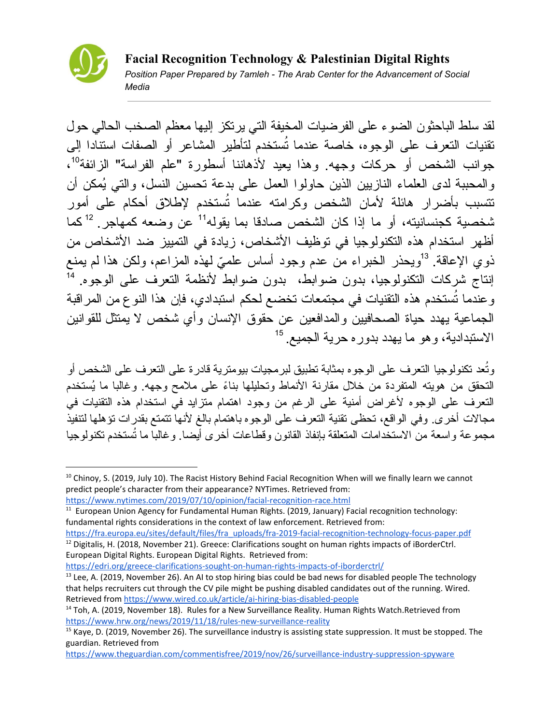

لقد سلط الباحثون الضوء على الفرضیات المخیفة التي یرتكز إلیها معظم الصخب الحالي حول تقنیات التعرف على الوجوه، خاصة عندما تُستخدم لتأطیر المشاعر أو الصفات استنادا إلى جوانب الشخص أو حركات وجهه. وهذا يعيد لأذهاننا أسطورة "علم الفراسة" الزائفة<sup>10</sup>، والمحببة لدى العلماء النازیین الذین حاولوا العمل على بدعة تحسین النسل، والتي ُیمكن أن تتسبب بأضرار هائلة لأمان الشخص وكرامته عندما تُستخدم لإطلاق أحكام على أمور ثىخصية كجنسانيته، أو ما إذا كان الشخص صادقا بما يقوله<sup>11</sup> عن وضعه كمهاجر . <sup>12</sup>كما أظهر استخدام هذه التكنولوجیا في توظیف الأشخاص، زیادة في التمییز ضد الأشخاص من ذوي الإعاقة. <sup>13</sup>ويحذر الخبراء من عدم وجود أساس علميّ لمهذه المزاعم، ولكن هذا لم يمنع إنتاج شركات التكنولوجیا، بدون ضوابط، بدون ضوابط لأنظمة التعرف على الوجوه. 14 وعندما تُستخدم هذه التقنیات في مجتمعات تخضع لحكم استبدادي، فإن هذا النوع من المراقبة الجماعیة یهدد حیاة الصحافیین والمدافعین عن حقوق الإنسان وأي شخص لا یمتثل للقوانین الاستبدادیة، وهو ما یهدد بدوره حریة الجمیع. 15

وتُعد تكنولوجیا التعرف على الوجوه بمثابة تطبیق لبرمجیات بیومتریة قادرة على التعرف على الشخص أو التحقق من هویته المتفردة من خلال مقارنة الأنماط وتحلیلها بناًء على ملامح وجهه. وغالبا ما ُیستخدم التعرف على الوجوه لأغراض أمنیة على الرغم من وجود اهتمام متزاید في استخدام هذه التقنیات في مجالات أخرى. وفي الواقع، تحظى تقنیة التعرف على الوجوه باهتمام بالغ لأنها تتمتع بقدرات تؤهلها لتنفیذ مجموعة واسعة من الاستخدامات المتعلقة بإنفاذ القانون وقطاعات أخرى أیضا. وغالبا ما تُستخدم تكنولوجیا

<https://edri.org/greece-clarifications-sought-on-human-rights-impacts-of-iborderctrl/>

 $10$  Chinoy, S. (2019, July 10). The Racist History Behind Facial Recognition When will we finally learn we cannot predict people's character from their appearance? NYTimes. Retrieved from:

<https://www.nytimes.com/2019/07/10/opinion/facial-recognition-race.html>

 $11$  European Union Agency for Fundamental Human Rights. (2019, January) Facial recognition technology: fundamental rights considerations in the context of law enforcement. Retrieved from:

[https://fra.europa.eu/sites/default/files/fra\\_uploads/fra-2019-facial-recognition-technology-focus-paper.pdf](https://fra.europa.eu/sites/default/files/fra_uploads/fra-2019-facial-recognition-technology-focus-paper.pdf) <sup>12</sup> Digitalis, H. (2018, November 21). Greece: Clarifications sought on human rights impacts of iBorderCtrl. European Digital Rights. European Digital Rights. Retrieved from:

 $<sup>13</sup>$  Lee, A. (2019, November 26). An AI to stop hiring bias could be bad news for disabled people The technology</sup> that helps recruiters cut through the CV pile might be pushing disabled candidates out of the running. Wired. Retrieved from <https://www.wired.co.uk/article/ai-hiring-bias-disabled-people>

<sup>&</sup>lt;sup>14</sup> Toh, A. (2019, November 18). Rules for a New Surveillance Reality. Human Rights Watch.Retrieved from <https://www.hrw.org/news/2019/11/18/rules-new-surveillance-reality>

<sup>&</sup>lt;sup>15</sup> Kaye, D. (2019, November 26). The surveillance industry is assisting state suppression. It must be stopped. The guardian. Retrieved from

<https://www.theguardian.com/commentisfree/2019/nov/26/surveillance-industry-suppression-spyware>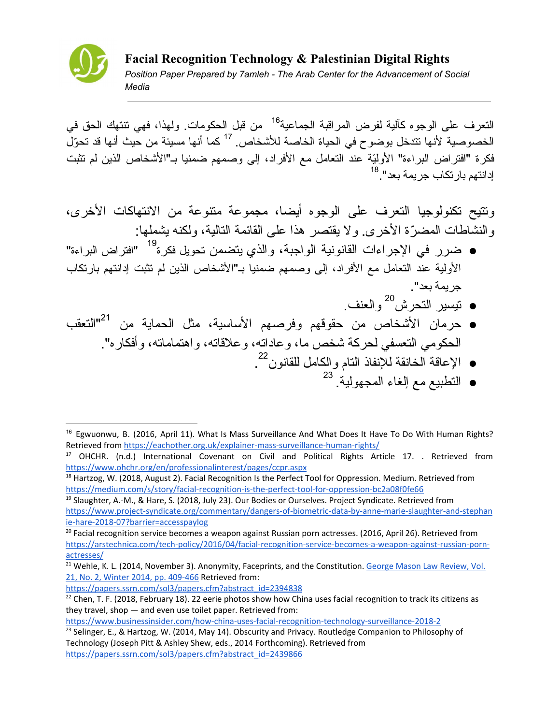

النعرف على الوجوه كآلية لفرض المراقبة الجماعية<sup>16</sup> من قبل الحكومات. ولهذا، فهي تتتهك الحق في الخصوصية لأنها تتدخل بوضوح في الحياة الخاصة للأشخاص. <sup>17</sup> كما أنها مسيئة من حيث أنها قد تحوّلَ فكرة "افتراض البراءة" الأولّیة عند التعامل مع الأفراد، إلى وصمهم ضمنیا بـ"الأشخاص الذین لم تثبت إدانتهم بارتكاب جریمة بعد". 18

وتتیح تكنولوجیا التعرف على الوجوه أیضا، مجموعة متنوعة من الانتهاكات الأخرى، والنشاطات المض ّرة الأخرى. ولا یقتصر هذا على القائمة التالیة، ولكنه یشملها:

- ضرر في الإجراءات القانونية الواجبة، والذي يتضمن تحويل فكرة<sup>19</sup> "افتراض البراءة" الأولیة عند التعامل مع الأفراد، إلى وصمهم ضمنیا بـ"الأشخاص الذین لم تثبت إدانتهم بارتكاب جریمة بعد".
	- تیسیر التحرش والعنف. 20
- حرمان الأشخاص من حقوقهم وفرصهم الأساسیة، مثل الحمایة من "التعقب 21 الحكومي التعسفي لحركة شخص ما، وعاداته، وعلاقاته، واهتماماته، وأفكاره".
	- الإعاقة الخانقة للإنفاذ التام والكامل للقانون . 22
		- التطبیع مع إلغاء المجهولیة. 23

[https://papers.ssrn.com/sol3/papers.cfm?abstract\\_id=2394838](https://papers.ssrn.com/sol3/papers.cfm?abstract_id=2394838)

<sup>&</sup>lt;sup>16</sup> Egwuonwu, B. (2016, April 11). What Is Mass Surveillance And What Does It Have To Do With Human Rights? Retrieved from <https://eachother.org.uk/explainer-mass-surveillance-human-rights/>

<sup>&</sup>lt;sup>17</sup> OHCHR. (n.d.) International Covenant on Civil and Political Rights Article 17. . Retrieved from <https://www.ohchr.org/en/professionalinterest/pages/ccpr.aspx>

<sup>&</sup>lt;sup>18</sup> Hartzog, W. (2018, August 2). Facial Recognition Is the Perfect Tool for Oppression. Medium. Retrieved from <https://medium.com/s/story/facial-recognition-is-the-perfect-tool-for-oppression-bc2a08f0fe66>

 $19$  Slaughter, A.-M., & Hare, S. (2018, July 23). Our Bodies or Ourselves. Project Syndicate. Retrieved from [https://www.project-syndicate.org/commentary/dangers-of-biometric-data-by-anne-marie-slaughter-and-stephan](https://www.project-syndicate.org/commentary/dangers-of-biometric-data-by-anne-marie-slaughter-and-stephanie-hare-2018-07?barrier=accesspaylog) [ie-hare-2018-07?barrier=accesspaylog](https://www.project-syndicate.org/commentary/dangers-of-biometric-data-by-anne-marie-slaughter-and-stephanie-hare-2018-07?barrier=accesspaylog)

<sup>&</sup>lt;sup>20</sup> Facial recognition service becomes a weapon against Russian porn actresses. (2016, April 26). Retrieved from [https://arstechnica.com/tech-policy/2016/04/facial-recognition-service-becomes-a-weapon-against-russian-porn](https://arstechnica.com/tech-policy/2016/04/facial-recognition-service-becomes-a-weapon-against-russian-porn-actresses/)[actresses/](https://arstechnica.com/tech-policy/2016/04/facial-recognition-service-becomes-a-weapon-against-russian-porn-actresses/)

<sup>&</sup>lt;sup>21</sup> Wehle, K. L. (2014, November 3). Anonymity, Faceprints, and the Constitution. George Mason Law [Review,](https://papers.ssrn.com/sol3/papers.cfm?abstract_id=2394838#) Vol. 21, No. 2, Winter 2014, pp. [409-466](https://papers.ssrn.com/sol3/papers.cfm?abstract_id=2394838#) Retrieved from:

<sup>&</sup>lt;sup>22</sup> Chen, T. F. (2018, February 18). 22 eerie photos show how China uses facial recognition to track its citizens as they travel, shop — and even use toilet paper. Retrieved from:

<https://www.businessinsider.com/how-china-uses-facial-recognition-technology-surveillance-2018-2>

<sup>&</sup>lt;sup>23</sup> Selinger, E., & Hartzog, W. (2014, May 14). Obscurity and Privacy. Routledge Companion to Philosophy of Technology (Joseph Pitt & Ashley Shew, eds., 2014 Forthcoming). Retrieved from [https://papers.ssrn.com/sol3/papers.cfm?abstract\\_id=2439866](https://papers.ssrn.com/sol3/papers.cfm?abstract_id=2439866)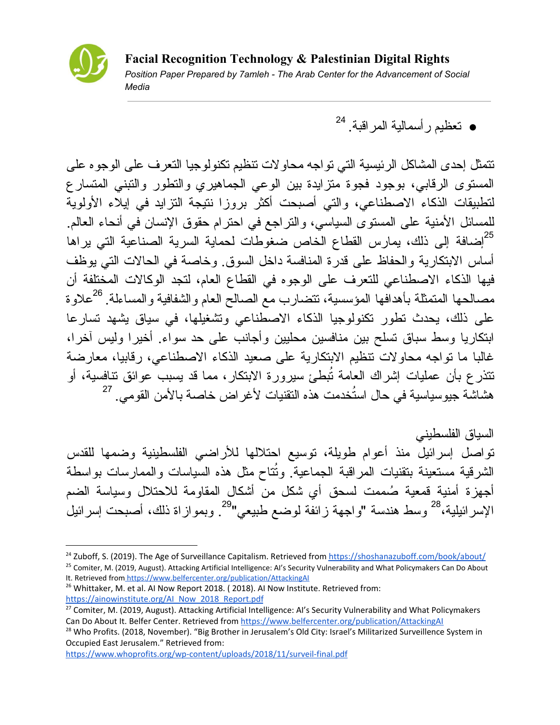

● تعظیم رأسمالیة المراقبة. 24

تتمثل إحدى المشاكل الرئیسیة التي تواجه محاولات تنظیم تكنولوجیا التعرف على الوجوه على المستوى الرقابي، بوجود فجوة متزایدة بین الوعي الجماهیري والتطور والتبني المتسارع لتطبیقات الذكاء الاصطناعي، والتي أصبحت أكثر بروزا نتیجة التزاید في إیلاء الأولویة للمسائل الأمنیة على المستوى السیاسي، والتراجع في احترام حقوق الإنسان في أنحاء العالم. <sup>25</sup>إضافة إلى ذلك، يمارس القطاع الخاص ضغوطات لحماية السرية الصناعية التي يراها أساس الابتكاریة والحفاظ على قدرة المنافسة داخل السوق. وخاصة في الحالات التي یوظف فیها الذكاء الاصطناعي للتعرف على الوجوه في القطاع العام، لتجد الوكالات المختلفة أن مصـالحها المتمثلة بأهدافها المؤسسية، تتضـارب مـع الصـالـح الـعام والشفافية والمساءلة. <sup>26</sup>علاوة على ذلك، یحدث تطور تكنولوجیا الذكاء الاصطناعي وتشغیلها، في سیاق یشهد تسارعا ابتكاریا وسط سباق تسلح بین منافسین محلیین وأجانب على حد سواء. أخیرا ولیس آخرا، غالبا ما تواجه محاولات تنظیم الابتكاریة على صعید الذكاء الاصطناعي، رقابیا، معارضة تتذر ع بأن عمليات إشراك العامة تُبطئ سيرورة الابتكار ، مما قد يسبب عوائق نتافسية، أو هشاشة جیوسیاسیة في حال استُخدمت هذه التقنیات لأغراض خاصة بالأمن القومي. 27

السیاق الفلسطیني تواصل إسرائیل منذ أعوام طویلة، توسیع احتلالها للأراضي الفلسطینیة وضمها للقدس الشرقية مستعينة بتقنيات المراقبة الجماعية. وتُتاح مثل هذه السياسات والممارسات بواسطة أجهزة أمنية قمعية صُممت لسحق أي شكل من أشكال المقاومة للاحتلال وسياسة الضم الإسر ائيلية،<sup>28</sup> وسط هندسة "واجهة زائفة لوضع طبيعي"<sup>29</sup>. وبموازاة ذلك، أصبحت إسرائيل

<https://www.whoprofits.org/wp-content/uploads/2018/11/surveil-final.pdf>

<sup>&</sup>lt;sup>24</sup> Zuboff, S. (2019). The Age of Surveillance Capitalism. Retrieved from <https://shoshanazuboff.com/book/about/>

<sup>&</sup>lt;sup>25</sup> Comiter, M. (2019, August). Attacking Artificial Intelligence: AI's Security Vulnerability and What Policymakers Can Do About It. Retrieved fro[m https://www.belfercenter.org/publication/AttackingAI](https://www.belfercenter.org/publication/AttackingAI)

<sup>&</sup>lt;sup>26</sup> Whittaker, M. et al. AI Now Report 2018. (2018). AI Now Institute. Retrieved from: [https://ainowinstitute.org/AI\\_Now\\_2018\\_Report.pdf](https://ainowinstitute.org/AI_Now_2018_Report.pdf)

<sup>&</sup>lt;sup>27</sup> Comiter, M. (2019, August). Attacking Artificial Intelligence: Al's Security Vulnerability and What Policymakers Can Do About It. Belfer Center. Retrieved from <https://www.belfercenter.org/publication/AttackingAI>

<sup>&</sup>lt;sup>28</sup> Who Profits. (2018, November). "Big Brother in Jerusalem's Old City: Israel's Militarized Surveillence System in Occupied East Jerusalem." Retrieved from: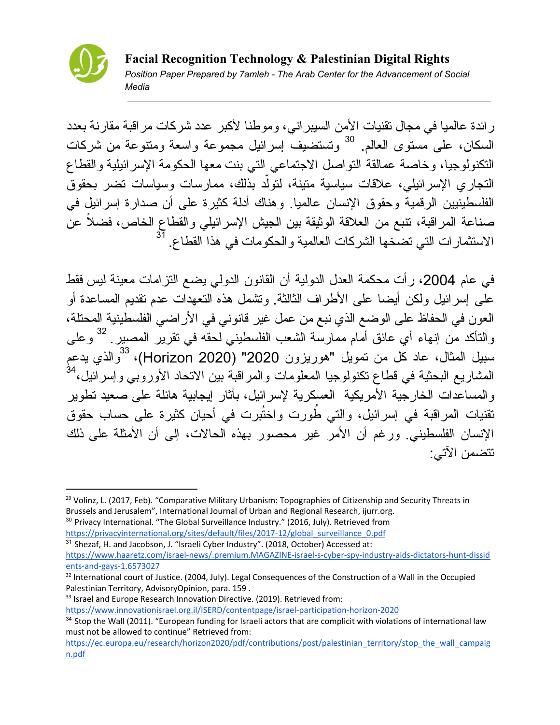

رائدة عالمیا في مجال تقنیات الأمن السیبراني، وموطنا لأكبر عدد شركات مراقبة مقارنة بعدد السكان، على مستوى العالم<sub>.</sub> <sup>30</sup> وتستضيف إسرائيل مجموعة واسعة ومتنوعة من شركات التكنولوجیا، وخاصة عمالقة التواصل الاجتماعي التي بنت معها الحكومة الإسرائیلیة والقطاع النجاري الإسرائيلي، علاقات سياسية متينة، لتولّد بذلك، ممارسات وسياسات تضر بحقوق الفلسطینیین الرقمیة وحقوق الإنسان عالمیا. وهناك أدلة كثیرة على أن صدارة إسرائیل في صناعة المراقبة، تنبع من العلاقة الوثیقة بین الجیش الإسرائیلي والقطاع الخاص، فض ًلا عن الاستثمارات التي تضخها الشركات العالمیة والحكومات في هذا القطاع. 31

في عام 2004، رأت محكمة العدل الدولية أن القانون الدولمي يضع التزامات معينة ليس فقط على إسرائیل ولكن أیضا على الأطراف الثالثة. وتشمل هذه التعهدات عدم تقدیم المساعدة أو العون في الحفاظ على الوضع الذي نبع من عمل غیر قانوني في الأراضي الفلسطینیة المحتلة، والتأكد من إنهاء أي عائق أمام ممارسة الشعب الفلسطيني لحقه في تقرير المصير ـ <sup>32</sup> وعلى سبيل المثال، عاد كل من تمويل "هوريزون 2020" (Horizon 2020)، <sup>33</sup>والذي يدعم المشاریع البحثیة في قطاع تكنولوجیا المعلومات والمراقبة بین الاتحاد الأوروبي وإسرائیل، 34 والمساعدات الخارجیة الأمریكیة العسكریة لإسرائیل، بآثار إیجابیة هائلة على صعید تطویر تقنيات المراقبة في إسرائيل، والتي طُورت واختُبرت في أحيان كثيرة على حساب حقوق الإنسان الفلسطیني. ورغم أن الأمر غیر محصور بهذه الحالات، إلى أن الأمثلة على ذلك تتضمن الآتي:

<sup>&</sup>lt;sup>29</sup> Volinz, L. (2017, Feb). "Comparative Military Urbanism: Topographies of Citizenship and Security Threats in Brussels and Jerusalem", International Journal of Urban and Regional Research, ijurr.org.

<sup>&</sup>lt;sup>30</sup> Privacy International. "The Global Surveillance Industry." (2016, July). Retrieved from [https://privacyinternational.org/sites/default/files/2017-12/global\\_surveillance\\_0.pdf](https://privacyinternational.org/sites/default/files/2017-12/global_surveillance_0.pdf)

<sup>&</sup>lt;sup>31</sup> Shezaf, H. and Jacobson, J. "Israeli Cyber Industry". (2018, October) Accessed at: [https://www.haaretz.com/israel-news/.premium.MAGAZINE-israel-s-cyber-spy-industry-aids-dictators-hunt-dissid](https://www.haaretz.com/israel-news/.premium.MAGAZINE-israel-s-cyber-spy-industry-aids-dictators-hunt-dissidents-and-gays-1.6573027) [ents-and-gays-1.6573027](https://www.haaretz.com/israel-news/.premium.MAGAZINE-israel-s-cyber-spy-industry-aids-dictators-hunt-dissidents-and-gays-1.6573027)

<sup>&</sup>lt;sup>32</sup> International court of Justice. (2004, July). Legal Consequences of the Construction of a Wall in the Occupied Palestinian Territory, AdvisoryOpinion, para. 159 .

<sup>&</sup>lt;sup>33</sup> Israel and Europe Research Innovation Directive. (2019). Retrieved from:

<https://www.innovationisrael.org.il/ISERD/contentpage/israel-participation-horizon-2020>

<sup>&</sup>lt;sup>34</sup> Stop the Wall (2011). "European funding for Israeli actors that are complicit with violations of international law must not be allowed to continue" Retrieved from:

[https://ec.europa.eu/research/horizon2020/pdf/contributions/post/palestinian\\_territory/stop\\_the\\_wall\\_campaig](https://ec.europa.eu/research/horizon2020/pdf/contributions/post/palestinian_territory/stop_the_wall_campaign.pdf) [n.pdf](https://ec.europa.eu/research/horizon2020/pdf/contributions/post/palestinian_territory/stop_the_wall_campaign.pdf)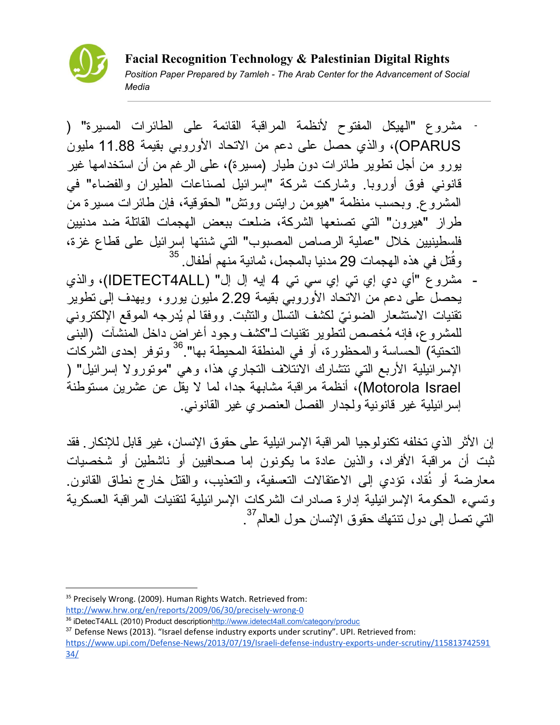

مشروع "الهیكل المفتوح لأنظمة المراقبة القائمة على الطائرات المسیرة" ( - OPARUS(، والذي حصل على دعم من الاتحاد الأوروبي بقیمة 11.88 ملیون یورو من أجل تطویر طائرات دون طیار (مسیرة)، على الرغم من أن استخدامها غیر قانوني فوق أوروبا. وشاركت شركة "إسرائیل لصناعات الطیران والفضاء" في المشروع. وبحسب منظمة "هیومن رایتس ووتش" الحقوقیة، فإن طائرات مسیرة من طراز "هیرون" التي تصنعها الشركة، ضلعت ببعض الهجمات القاتلة ضد مدنیین فلسطینیین خلال "عملیة الرصاص المصبوب" التي شنتها إسرائیل على قطاع غزة، تل في هذه الهجمات 29 مدنیا بالمجمل، ثمانیة منهم أطفال. وقُ 35

- مشروع "أي دي إي تي إي سي تي 4 إیه إل إل" (ALL4IDETECT(، والذي یحصل على دعم من الاتحاد الأوروبي بقیمة 2.29 ملیون یورو، ویهدف إلى تطویر تقنيات الاستشعار الضوئيّ لكشف التسلل والتثبت. ووفقا لم يُدرجه الموقع الإلكتروني للمشروع، فإنه ُمخصص لتطویر تقنیات لـ"كشف وجود أغراض داخل المنشآت (البنى التحتیة) الحساسة والمحظورة، أو في المنطقة المحیطة بها". وتوفر إحدى الشركات 36 الإسرائیلیة الأربع التي تتشارك الائتلاف التجاري هذا، وهي "موتورولا إسرائیل" ( Israel Motorola(، أنظمة مراقبة مشابهة جدا، لما لا یقل عن عشرین مستوطنة إسرائیلیة غیر قانونیة ولجدار الفصل العنصري غیر القانوني.

إن الأثر الذي تخلفه تكنولوجیا المراقبة الإسرائیلیة على حقوق الإنسان، غیر قابل للإنكار. فقد ثبت أن مراقبة الأفراد، والذین عادة ما یكونون إما صحافیین أو ناشطین أو شخصیات معارضة أو نُقاد، تؤدي إلى الاعتقالات التعسفية، والتعذيب، والقتل خارج نطاق القانون. وتسيء الحكومة الإسرائیلیة إدارة صادرات الشركات الإسرائیلیة لتقنیات المراقبة العسكریة التي تصل إلى دول تنتهك حقوق الإنسان حول العالم<sup>37</sup> .

<sup>&</sup>lt;sup>35</sup> Precisely Wrong. (2009). Human Rights Watch. Retrieved from: <http://www.hrw.org/en/reports/2009/06/30/precisely-wrong-0>

<sup>36</sup> iDetecT4ALL (2010) Product description<http://www.idetect4all.com/category/produc>

<sup>&</sup>lt;sup>37</sup> Defense News (2013). "Israel defense industry exports under scrutiny". UPI. Retrieved from: [https://www.upi.com/Defense-News/2013/07/19/Israeli-defense-industry-exports-under-scrutiny/115813742591](https://www.upi.com/Defense-News/2013/07/19/Israeli-defense-industry-exports-under-scrutiny/11581374259134/) [34/](https://www.upi.com/Defense-News/2013/07/19/Israeli-defense-industry-exports-under-scrutiny/11581374259134/)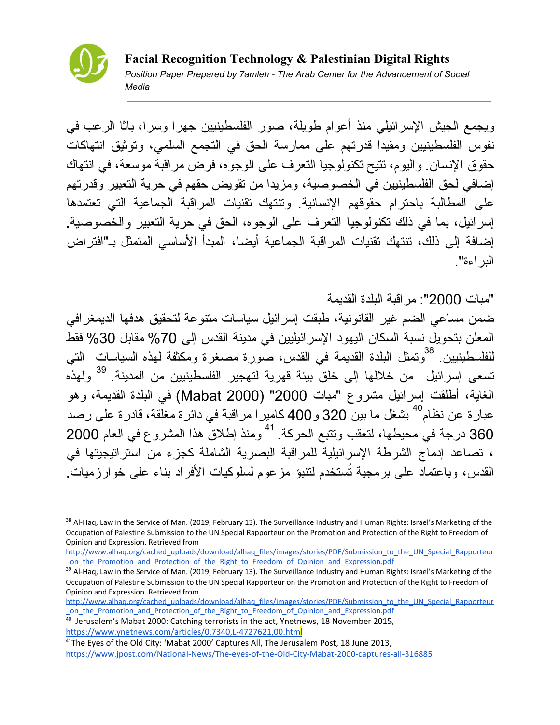

ویجمع الجیش الإسرائیلي منذ أعوام طویلة، صور الفلسطینیین جهرا وسرا، باثا الرعب في نفوس الفلسطینیین ومقیدا قدرتهم على ممارسة الحق في التجمع السلمي، وتوثیق انتهاكات حقوق الإنسان. والیوم، تتیح تكنولوجیا التعرف على الوجوه، فرض مراقبة موسعة، في انتهاك إضافي لحق الفلسطینیین في الخصوصیة، ومزیدا من تقویض حقهم في حریة التعبیر وقدرتهم على المطالبة باحترام حقوقهم الإنسانیة. وتنتهك تقنیات المراقبة الجماعیة التي تعتمدها إسرائیل، بما في ذلك تكنولوجیا التعرف على الوجوه، الحق في حریة التعبیر والخصوصیة. إضافة إلى ذلك، تنتهك تقنیات المراقبة الجماعیة أیضا، المبدأ الأساسي المتمثل بـ"افتراض البراءة".

"مبات 2000": مراقبة البلدة القدیمة

ضمن مساعي الضم غیر القانونیة، طبقت إسرائیل سیاسات متنوعة لتحقیق هدفها الدیمغرافي المعلن بتحویل نسبة السكان الیهود الإسرائیلیین في مدینة القدس إلى %70 مقابل %30 فقط للفلسطينيين<sub>.</sub> <sup>38</sup>وتمثل البلدة القديمة في القدس، صورة مصغرة ومكثفة لمهذه السياسات التي تسعى إسرائيل من خلالها إلى خلق بيئة قهرية لتهجير الفلسطينيين من المدينة. <sup>39</sup> ولهذه الغایة، أطلقت إسرائیل مشروع "مبات 2000" (2000 Mabat (في البلدة القدیمة، وهو عبار ة عن نظام<sup>40</sup> يشغل ما بين 320 و 400 كامير ا مر اقبة في دائر ة مغلقة، قادر ة على رصد 360 درجة في محيطها، لتعقب وتتبع الحركة. <sup>41</sup> ومنذ إطلاق هذا المشروع في العام 2000 ، تصاعد إدماج الشرطة الإسرائیلیة للمراقبة البصریة الشاملة كجزء من استراتیجیتها في القدس، وباعتماد على برمجیة تُستخدم لتنبؤ مزعوم لسلوكیات الأفراد بناء على خوارزمیات.

[http://www.alhaq.org/cached\\_uploads/download/alhaq\\_files/images/stories/PDF/Submission\\_to\\_the\\_UN\\_Special\\_Rapporteur](http://www.alhaq.org/cached_uploads/download/alhaq_files/images/stories/PDF/Submission_to_the_UN_Special_Rapporteur_on_the_Promotion_and_Protection_of_the_Right_to_Freedom_of_Opinion_and_Expression.pdf) [\\_on\\_the\\_Promotion\\_and\\_Protection\\_of\\_the\\_Right\\_to\\_Freedom\\_of\\_Opinion\\_and\\_Expression.pdf](http://www.alhaq.org/cached_uploads/download/alhaq_files/images/stories/PDF/Submission_to_the_UN_Special_Rapporteur_on_the_Promotion_and_Protection_of_the_Right_to_Freedom_of_Opinion_and_Expression.pdf)

<sup>&</sup>lt;sup>38</sup> Al-Haq, Law in the Service of Man. (2019, February 13). The Surveillance Industry and Human Rights: Israel's Marketing of the Occupation of Palestine Submission to the UN Special Rapporteur on the Promotion and Protection of the Right to Freedom of Opinion and Expression. Retrieved from

<sup>&</sup>lt;sup>39</sup> Al-Haq, Law in the Service of Man. (2019, February 13). The Surveillance Industry and Human Rights: Israel's Marketing of the Occupation of Palestine Submission to the UN Special Rapporteur on the Promotion and Protection of the Right to Freedom of Opinion and Expression. Retrieved from

[http://www.alhaq.org/cached\\_uploads/download/alhaq\\_files/images/stories/PDF/Submission\\_to\\_the\\_UN\\_Special\\_Rapporteur](http://www.alhaq.org/cached_uploads/download/alhaq_files/images/stories/PDF/Submission_to_the_UN_Special_Rapporteur_on_the_Promotion_and_Protection_of_the_Right_to_Freedom_of_Opinion_and_Expression.pdf) on the Promotion and Protection of the Right to Freedom of Opinion and Expression.pdf

 $\frac{1}{40}$  Jerusalem's Mabat 2000: Catching terrorists in the act, Ynetnews, 18 November 2015, <https://www.ynetnews.com/articles/0,7340,L-4727621,00.html>

<sup>&</sup>lt;sup>41</sup>The Eves of the Old City: 'Mabat 2000' Captures All, The Jerusalem Post, 18 June 2013, <https://www.jpost.com/National-News/The-eyes-of-the-Old-City-Mabat-2000-captures-all-316885>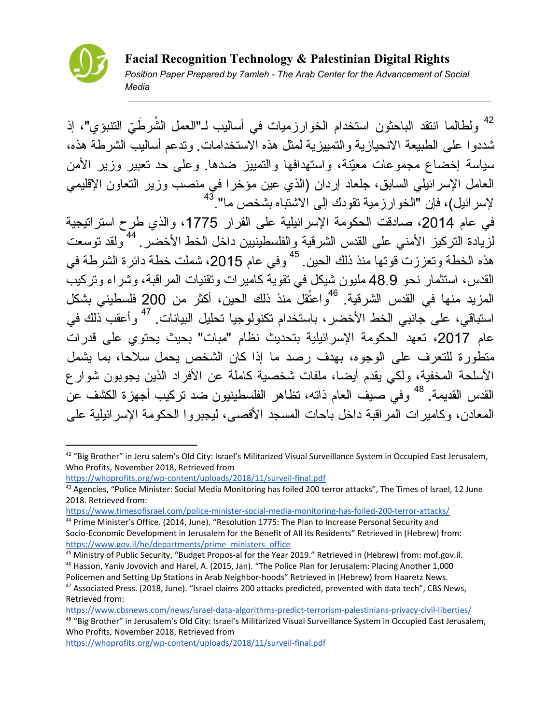

ولطالما انتقد الباحثون استخدام الخوارزميات في أساليب لـ"العمل الشُرطَيّ التتبوَي"، إذ 42 شددوا على الطبیعة الانحیازیة والتمییزیة لمثل هذه الاستخدامات. وتدعم أسالیب الشرطة هذه، سیاسة إخضاع مجموعات معّینة، واستهدافها والتمییز ضدها. وعلى حد تعبیر وزیر الأمن العامل الإسرائیلي السابق، جلعاد إردان (الذي عین مؤخرا في منصب وزیر التعاون الإقلیمي لإسرائیل)، فإن "الخوارزمیة تقودك إلى الاشتباه بشخص ما". 43 في عام ،2014 صادقت الحكومة الإسرائیلیة على القرار ،1775 والذي طرح استراتیجیة

لزيادة التركيز الأمني على القدس الشرقية والفلسطينيين داخل الخط الأخضر ـ <sup>44</sup>ولقد توسعت هذه الخطة وتعززت قوتها منذ ذلك الحين<sub>.</sub> <sup>45</sup> وفي عام 2015، شملت خطة دائرة الشرطة في القدس، استثمار نحو 48.9 ملیون شیكل في تقویة كامیرات وتقنیات المراقبة، وشراء وتركیب المزيد منها في القدس الشرقية. <sup>46</sup>واعتُقل منذ ذلك الحين، أكثر من 200 فلسطيني بشكل استباقي، على جانبي الخط الأخضر ، باستخدام تكنولوجيا تحليل البيانات<sub>.</sub> <sup>47</sup> و أعقب ذلك في عام 2017، تعهد الحكومة الإسرائيلية بتحدیث نظام "مبات" بحیث بحتوي على قدرات متطورة للتعرف على الوجوه، بهدف رصد ما إذا كان الشخص یحمل سلاحا، بما یشمل الأسلحة المخفیة، ولكي یقدم أیضا، ملفات شخصیة كاملة عن الأفراد الذین یجوبون شوارع القدس القديمة<sub>.</sub> <sup>48</sup> وفي صيف العام ذاته، تظاهر الفلسطينيون ضد تركيب أجهزة الكشف عن المعادن، وكامیرات المراقبة داخل باحات المسجد الأقصى، لیجبروا الحكومة الإسرائیلیة على

<https://www.cbsnews.com/news/israel-data-algorithms-predict-terrorism-palestinians-privacy-civil-liberties/>

<sup>&</sup>lt;sup>42</sup> "Big Brother" in Jeru salem's Old City: Israel's Militarized Visual Surveillance System in Occupied East Jerusalem, Who Profits, November 2018, Retrieved from

<https://whoprofits.org/wp-content/uploads/2018/11/surveil-final.pdf>

<sup>&</sup>lt;sup>43</sup> Agencies, "Police Minister: Social Media Monitoring has foiled 200 terror attacks", The Times of Israel, 12 June 2018. Retrieved from:

<https://www.timesofisrael.com/police-minister-social-media-monitoring-has-foiled-200-terror-attacks/> <sup>44</sup> Prime Minister's Office. (2014, June). "Resolution 1775: The Plan to Increase Personal Security and

Socio-Economic Development in Jerusalem for the Benefit of All its Residents" Retrieved in (Hebrew) from: [https://www.gov.il/he/departments/prime\\_ministers\\_office](https://www.gov.il/he/departments/prime_ministers_office)

<sup>45</sup> Ministry of Public Security, "Budget Propos-al for the Year 2019." Retrieved in (Hebrew) from: mof.gov.il. <sup>46</sup> Hasson, Yaniv Jovovich and Harel, A. (2015, Jan). "The Police Plan for Jerusalem: Placing Another 1,000 Policemen and Setting Up Stations in Arab Neighbor-hoods" Retrieved in (Hebrew) from Haaretz News.

<sup>47</sup> Associated Press. (2018, June). "Israel claims 200 attacks predicted, prevented with data tech", CBS News, Retrieved from:

<sup>&</sup>lt;sup>48</sup> "Big Brother" in Jerusalem's Old City: Israel's Militarized Visual Surveillance System in Occupied East Jerusalem, Who Profits, November 2018, Retrieved from

<https://whoprofits.org/wp-content/uploads/2018/11/surveil-final.pdf>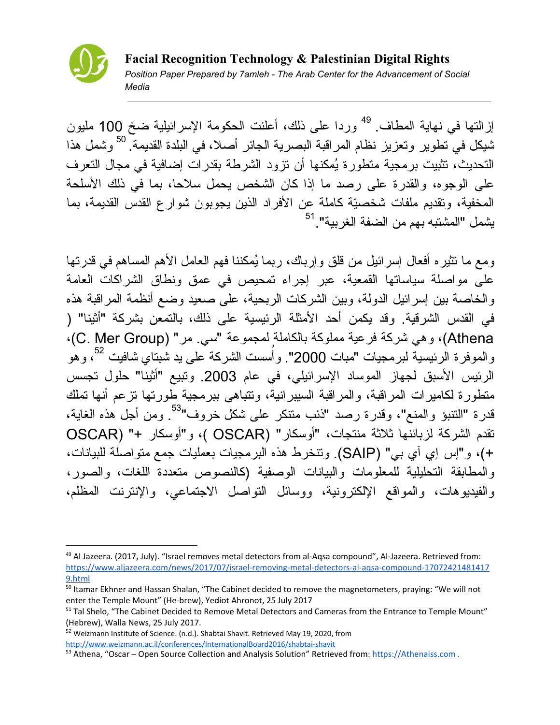

إزالتها في نهاية المطاف <sup>49</sup> وردا على ذلك، أعلنت الحكومة الإسرائيلية ضخ 100 مليون شیكل في تطویر وتعزیز نظام المراقبة البصریة الجائر أصلا، في البلدة القدیمة. وشمل هذا 50 التحدیث، تثبیت برمجیة متطورة ُیمكنها أن تزود الشرطة بقدرات إضافیة في مجال التعرف على الوجوه، والقدرة على رصد ما إذا كان الشخص یحمل سلاحا، بما في ذلك الأسلحة المخفیة، وتقدیم ملفات شخصّیة كاملة عن الأفراد الذین یجوبون شوارع القدس القدیمة، بما يشمل "المشتبه بهم من الضفة الغربية".<sup>51</sup>

ومع ما تثیر ه أفعال إسر ائیل من قلق وإرباك، ربما یُمكننا فهم العامل الأهم المساهم في قدر تها على مواصلة سیاساتها القمعیة، عبر إجراء تمحیص في عمق ونطاق الشراكات العامة والخاصة بین إسرائیل الدولة، وبین الشركات الربحیة، على صعید وضع أنظمة المراقبة هذه في القدس الشرقیة. وقد یكمن أحد الأمثلة الرئیسیة على ذلك، بالتمعن بشركة "أثینا" ( Athena)، و هي شركة فرعیة مملوكة بالكاملة لمجموعة "سي. مر " (C. Mer Group)، والموفرة الرئيسية لبرمجيات "مبات 2000". وأُسست الشركة على يد شُبتاي شافيت <sup>52</sup>، وهو الرئیس الأسبق لجهاز الموساد الإسرائیلي، في عام .2003 وتبیع "أثینا" حلول تجسس متطورة لكامیرات المراقبة، والمراقبة السیبرانیة، وتتباهى ببرمجیة طورتها تزعم أنها تملك قدرة "النتبؤ والمنع"، وقدرة رصد "ذئب متنكر على شكل خروف"<sup>53</sup>. ومن أجل هذه الغاية، تقدم الشركة لزبائنها ثلاثة منتجات، "أوسكار" (OSCAR( ، و"أوسكار +" (OSCAR +)، و"إس إي آي بي" (SAIP(. وتنخرط هذه البرمجیات بعملیات جمع متواصلة للبیانات، والمطابقة التحلیلیة للمعلومات والبیانات الوصفیة (كالنصوص متعددة اللغات، والصور، والفیدیوهات، والمواقع الإلكترونیة، ووسائل التواصل الاجتماعي، والإنترنت المظلم،

<sup>&</sup>lt;sup>49</sup> Al Jazeera. (2017, July). "Israel removes metal detectors from al-Aqsa compound", Al-Jazeera. Retrieved from: [https://www.aljazeera.com/news/2017/07/israel-removing-metal-detectors-al-aqsa-compound-17072421481417](https://www.aljazeera.com/news/2017/07/israel-removing-metal-detectors-al-aqsa-compound-170724214814179.html) [9.html](https://www.aljazeera.com/news/2017/07/israel-removing-metal-detectors-al-aqsa-compound-170724214814179.html)

<sup>&</sup>lt;sup>50</sup> Itamar Ekhner and Hassan Shalan, "The Cabinet decided to remove the magnetometers, praying: "We will not enter the Temple Mount" (He-brew), Yediot Ahronot, 25 July 2017

<sup>&</sup>lt;sup>51</sup> Tal Shelo, "The Cabinet Decided to Remove Metal Detectors and Cameras from the Entrance to Temple Mount" (Hebrew), Walla News, 25 July 2017.

<sup>52</sup> Weizmann Institute of Science. (n.d.). Shabtai Shavit. Retrieved May 19, 2020, from <http://www.weizmann.ac.il/conferences/InternationalBoard2016/shabtai-shavit>

<sup>53</sup> Athena, "Oscar – Open Source Collection and Analysis Solution" Retrieved from: [https://Athenaiss.com](https://athenaiss.com/).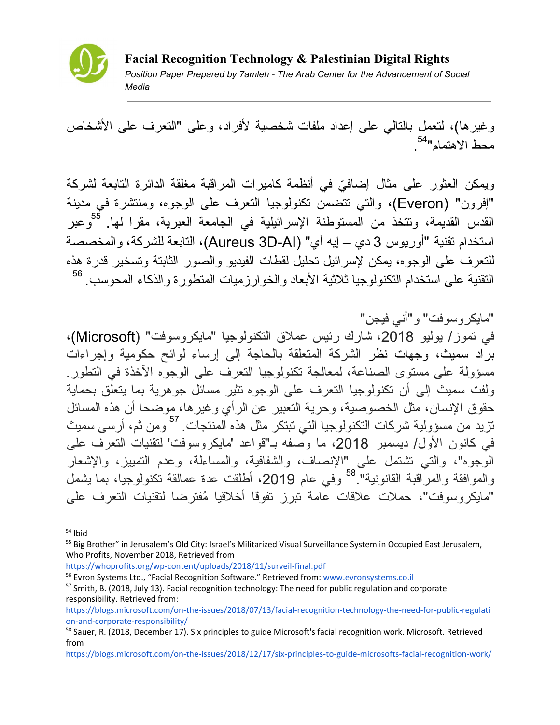

وغیرها)، لتعمل بالتالي على إعداد ملفات شخصیة لأفراد، وعلى "التعرف على الأشخاص محط الاهتمام" . 54

ويمكن العثور على مثال إضافيّ في أنظمة كاميرات المراقبة مغلقة الدائرة التابعة لشركة "إفرون" (Everon(، والتي تتضمن تكنولوجیا التعرف على الوجوه، ومنتشرة في مدینة القدس القديمة، ونتخذ من المستوطنة الإسرائيلية في الجامعة العبرية، مقرا لمها<sub>.</sub> <sup>55</sup>وعبر استخدام تقنیة "أوریوس 3 دي – إیه آي" (AI-D3 Aureus(، التابعة للشركة، والمخصصة للتعرف على الوجوه، یمكن لإسرائیل تحلیل لقطات الفیدیو والصور الثابتة وتسخیر قدرة هذه التقنیة على استخدام التكنولوجیا ثلاثیة الأبعاد والخوارزمیات المتطورة والذكاء المحوسب. 56

"مایكروسوفت" و"أني فیجن" في تموز/ یولیو ،2018 شارك رئیس عملاق التكنولوجیا "مایكروسوفت" (Microsoft(، براد سمیث، وجهات نظر الشركة المتعلقة بالحاجة إلى إرساء لوائح حكومیة وإجراءات مسؤولة على مستوى الصناعة، لمعالجة تكنولوجیا التعرف على الوجوه الآخذة في التطور. ولفت سمیث إلى أن تكنولوجیا التعرف على الوجوه تثیر مسائل جوهریة بما یتعلق بحمایة حقوق الإنسان، مثل الخصوصیة، وحریة التعبیر عن الرأي وغیرها، موضحا أن هذه المسائل تزيد من مسؤولية شركات التكنولوجيا التي تبتكر مثل هذه المنتجات. <sup>57</sup> ومن ثم، أرسى سميث في كانون الأول/ دیسمبر ،2018 ما وصفه بـ"قواعد 'مایكروسوفت' لتقنیات التعرف على الوجوه"، والتي تشتمل على "الإنصاف، والشفافیة، والمساءلة، وعدم التمییز، والإشعار والموافقة والمرَّاقبة القانونية" <sup>58</sup> وفي عام 2019، أطلقت عدة عمالقة تكنولوجيا، بما يشمل "مایكروسوفت"، حملات علاقات عامة تبرز تفوقا أخلاقیا ُمفترضا لتقنیات التعرف على

<https://whoprofits.org/wp-content/uploads/2018/11/surveil-final.pdf>

 $54$  Ibid

<sup>&</sup>lt;sup>55</sup> Big Brother" in Jerusalem's Old City: Israel's Militarized Visual Surveillance System in Occupied East Jerusalem, Who Profits, November 2018, Retrieved from

<sup>&</sup>lt;sup>56</sup> Evron Systems Ltd., "Facial Recognition Software." Retrieved from: [www.evronsystems.co.il](http://www.evronsystems.co.il/)

<sup>&</sup>lt;sup>57</sup> Smith, B. (2018, July 13). Facial recognition technology: The need for public regulation and corporate responsibility. Retrieved from:

[https://blogs.microsoft.com/on-the-issues/2018/07/13/facial-recognition-technology-the-need-for-public-regulati](https://blogs.microsoft.com/on-the-issues/2018/07/13/facial-recognition-technology-the-need-for-public-regulation-and-corporate-responsibility/) [on-and-corporate-responsibility/](https://blogs.microsoft.com/on-the-issues/2018/07/13/facial-recognition-technology-the-need-for-public-regulation-and-corporate-responsibility/)

<sup>&</sup>lt;sup>58</sup> Sauer, R. (2018, December 17). Six principles to guide Microsoft's facial recognition work. Microsoft. Retrieved from

<https://blogs.microsoft.com/on-the-issues/2018/12/17/six-principles-to-guide-microsofts-facial-recognition-work/>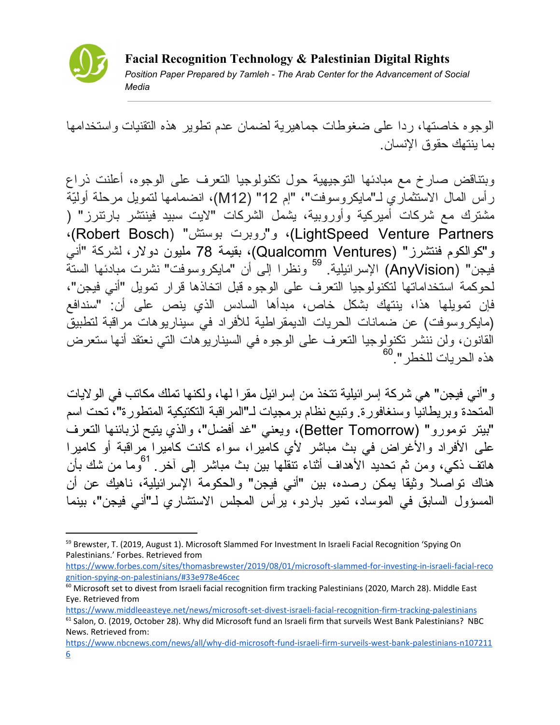

الوجوه خاصتها، ردا على ضغوطات جماهیریة لضمان عدم تطویر هذه التقنیات واستخدامها بما ینتهك حقوق الإنسان.

وبتناقض صارخ مع مبادئها التوجیهیة حول تكنولوجیا التعرف على الوجوه، أعلنت ذراع رأس المال الاستثماري لـ"مایكروسوفت"، "إم 12" (12M(، انضمامها لتمویل مرحلة أولّیة مشترك مع شركات أمیركیة وأوروبیة، یشمل الشركات "لایت سبید فینتشر بارتنرز" ( ،(Robert Bosch) "بوستش روبرت"و ،)LightSpeed Venture Partners و"كوالكوم فنتشرز" (Ventures Qualcomm(، بقیمة 78 ملیون دولار، لشركة "أني فيجن" (ÁnyVision) الإسرائيلية. <sup>59</sup> ونظرا إلى أن "مايكروسوفت" نشرت مبادئها الستة لحوكمة استخداماتها لتكنولوجیا التعرف على الوجوه قبل اتخاذها قرار تمویل "أني فیجن"، فإن تمویلها هذا، ینتهك بشكل خاص، مبدأها السادس الذي ینص على أن: "سندافع (مایكروسوفت) عن ضمانات الحریات الدیمقراطیة للأفراد في سیناریوهات مراقبة لتطبیق القانون، ولن ننشر تكنولوجیا التعرف على الوجوه في السیناریوهات التي نعتقد أنها ستعرض هذه الحريات للخطر ".<sup>60</sup>

و"أني فیجن" هي شركة إسرائیلیة تتخذ من إسرائیل مقرا لها، ولكنها تملك مكاتب في الولایات المتحدة وبریطانیا وسنغافورة. وتبیع نظام برمجیات لـ"المراقبة التكتیكیة المتطورة"، تحت اسم "بیتر تومورو" (Tomorrow Better(، ویعني "غد أفضل"، والذي یتیح لزبائنها التعرف على الأفراد والأغراض في بث مباشر لأي كامیرا، سواء كانت كامیرا مراقبة أو كامیرا هاتف ذكي، ومن ثم تحديد الأهداف أثناء تتقلّها بين بث مباشر ۖ إلى آخر . <sup>61</sup>وما من شك بأن هناك تواصلا وثیقا یمكن رصده، بین "أني فیجن" والحكومة الإسرائیلیة، ناهیك عن أن المسؤول السابق في الموساد، تمیر باردو، یرأس المجلس الاستشاري لـ"أني فیجن"، بینما

[https://www.forbes.com/sites/thomasbrewster/2019/08/01/microsoft-slammed-for-investing-in-israeli-facial-reco](https://www.forbes.com/sites/thomasbrewster/2019/08/01/microsoft-slammed-for-investing-in-israeli-facial-recognition-spying-on-palestinians/#33e978e46cec) [gnition-spying-on-palestinians/#33e978e46cec](https://www.forbes.com/sites/thomasbrewster/2019/08/01/microsoft-slammed-for-investing-in-israeli-facial-recognition-spying-on-palestinians/#33e978e46cec)

<https://www.middleeasteye.net/news/microsoft-set-divest-israeli-facial-recognition-firm-tracking-palestinians>

<sup>&</sup>lt;sup>59</sup> Brewster, T. (2019, August 1). Microsoft Slammed For Investment In Israeli Facial Recognition 'Spying On Palestinians.' Forbes. Retrieved from

<sup>&</sup>lt;sup>60</sup> Microsoft set to divest from Israeli facial recognition firm tracking Palestinians (2020, March 28). Middle East Eye. Retrieved from

 $61$  Salon, O. (2019, October 28). Why did Microsoft fund an Israeli firm that surveils West Bank Palestinians? NBC News. Retrieved from:

[https://www.nbcnews.com/news/all/why-did-microsoft-fund-israeli-firm-surveils-west-bank-palestinians-n107211](https://www.nbcnews.com/news/all/why-did-microsoft-fund-israeli-firm-surveils-west-bank-palestinians-n1072116) [6](https://www.nbcnews.com/news/all/why-did-microsoft-fund-israeli-firm-surveils-west-bank-palestinians-n1072116)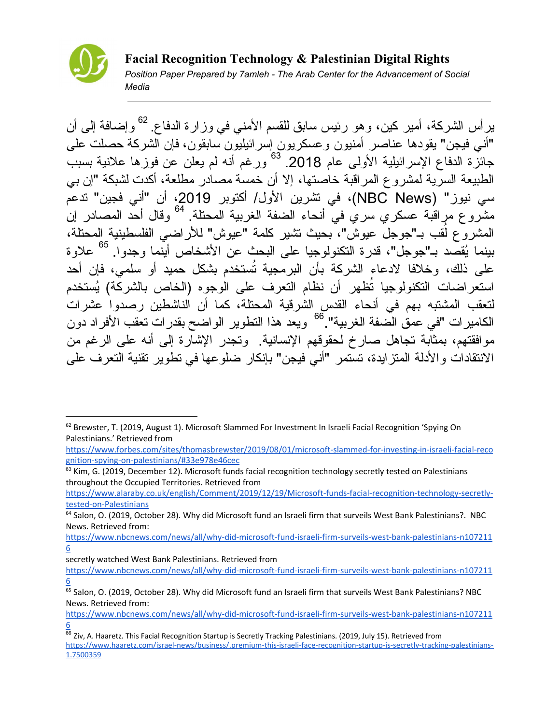

ير أس الشركة، أمير كين، وهو رئيس سابق للقسم الأمني في وز ارة الدفاع. <sup>62</sup> وإضـافة إلـى أن "أني فیجن" یقودها عناصر أمنیون وعسكریون إسرائیلیون سابقون، فإن الشركة حصلت على جائزة الدفاع الإسرائيلية الأولى عام 2018. <sup>63</sup> ورغم أنه لم يعلن عن فوزها علانية بسبب الطبیعة السریة لمشروع المراقبة خاصتها، إلا أن خمسة مصادر مطلعة، أكدت لشبكة "إن بي سي نیوز" (News NBC(، في تشرین الأول/ أكتوبر ،2019 أن "أني فجین" تدعم مشر و ع مر اقبة عسكر ي سر ي في أنحاء الضفة الغربية المحتلة. <sup>04</sup> وقال أحد المصادر 64 جو جل عبوش"، بحیث تشیر كلمة "عیوش" للأراضي الفلسطینیة المحتلة، ُ المشروع ل بینما ُیقصد بـ"جوجل"، قدرة التكنولوجیا على البحث عن الأشخاص أینما وجدوا. علاوة 65 على ذلك، وخلافا لادعاء الشركة بأن البرمجیة تُستخدم بشكل حمید أو سلمي، فإن أحد استعراضات التكنولوجیا تُظهر أن نظام التعرف على الوجوه (الخاص بالشركة) ُیستخدم لتعقب المشتبه بهم في أنحاء القدس الشرقیة المحتلة، كما أن الناشطین رصدوا عشرات الكامير ات "في عمق الصفة الغربية".<sup>66</sup> ويعد هذا التطوير الواضح بقدر ات تعقب الأفر اد دون موافقتهم، بمثابة تجاهل صارخ لحقوقهم الإنسانیة. وتجدر الإشارة إلى أنه على الرغم من الانتقادات والأدلة المتزایدة، تستمر "أني فیجن" بإنكار ضلوعها في تطویر تقنیة التعرف على

[https://www.nbcnews.com/news/all/why-did-microsoft-fund-israeli-firm-surveils-west-bank-palestinians-n107211](https://www.nbcnews.com/news/all/why-did-microsoft-fund-israeli-firm-surveils-west-bank-palestinians-n1072116) [6](https://www.nbcnews.com/news/all/why-did-microsoft-fund-israeli-firm-surveils-west-bank-palestinians-n1072116)

secretly watched West Bank Palestinians. Retrieved from

 $62$  Brewster, T. (2019, August 1). Microsoft Slammed For Investment In Israeli Facial Recognition 'Spying On Palestinians.' Retrieved from

[https://www.forbes.com/sites/thomasbrewster/2019/08/01/microsoft-slammed-for-investing-in-israeli-facial-reco](https://www.forbes.com/sites/thomasbrewster/2019/08/01/microsoft-slammed-for-investing-in-israeli-facial-recognition-spying-on-palestinians/#33e978e46cec) [gnition-spying-on-palestinians/#33e978e46cec](https://www.forbes.com/sites/thomasbrewster/2019/08/01/microsoft-slammed-for-investing-in-israeli-facial-recognition-spying-on-palestinians/#33e978e46cec)

 $63$  Kim, G. (2019, December 12). Microsoft funds facial recognition technology secretly tested on Palestinians throughout the Occupied Territories. Retrieved from

[https://www.alaraby.co.uk/english/Comment/2019/12/19/Microsoft-funds-facial-recognition-technology-secretly](https://www.alaraby.co.uk/english/Comment/2019/12/19/Microsoft-funds-facial-recognition-technology-secretly-tested-on-Palestinians)[tested-on-Palestinians](https://www.alaraby.co.uk/english/Comment/2019/12/19/Microsoft-funds-facial-recognition-technology-secretly-tested-on-Palestinians)

<sup>64</sup> Salon, O. (2019, October 28). Why did Microsoft fund an Israeli firm that surveils West Bank Palestinians?. NBC News. Retrieved from:

[https://www.nbcnews.com/news/all/why-did-microsoft-fund-israeli-firm-surveils-west-bank-palestinians-n107211](https://www.nbcnews.com/news/all/why-did-microsoft-fund-israeli-firm-surveils-west-bank-palestinians-n1072116) [6](https://www.nbcnews.com/news/all/why-did-microsoft-fund-israeli-firm-surveils-west-bank-palestinians-n1072116)

<sup>&</sup>lt;sup>65</sup> Salon, O. (2019, October 28). Why did Microsoft fund an Israeli firm that surveils West Bank Palestinians? NBC News. Retrieved from:

[https://www.nbcnews.com/news/all/why-did-microsoft-fund-israeli-firm-surveils-west-bank-palestinians-n107211](https://www.nbcnews.com/news/all/why-did-microsoft-fund-israeli-firm-surveils-west-bank-palestinians-n1072116) [6](https://www.nbcnews.com/news/all/why-did-microsoft-fund-israeli-firm-surveils-west-bank-palestinians-n1072116)

 $\frac{66}{66}$  Ziv, A. Haaretz. This Facial Recognition Startup is Secretly Tracking Palestinians. (2019, July 15). Retrieved from [https://www.haaretz.com/israel-news/business/.premium-this-israeli-face-recognition-startup-is-secretly-tracking-palestinians-](https://www.haaretz.com/israel-news/business/.premium-this-israeli-face-recognition-startup-is-secretly-tracking-palestinians-1.7500359)[1.7500359](https://www.haaretz.com/israel-news/business/.premium-this-israeli-face-recognition-startup-is-secretly-tracking-palestinians-1.7500359)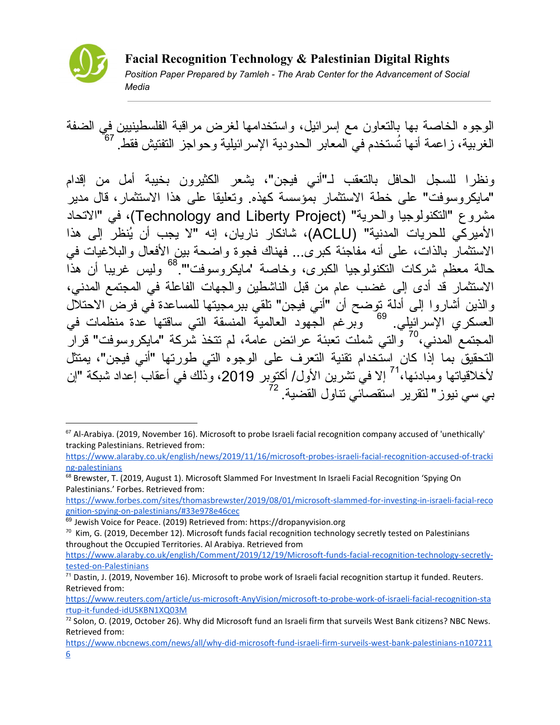

الوجوه الخاصة بها بالتعاون مع إسرائیل، واستخدامها لغرض مراقبة الفلسطینیین في الضفة الغربیة، زاعمة أنها تُستخدم في المعابر الحدودیة الإسرائیلیة وحواجز التفتیش فقط. 67

ونظرا للسجل الحافل بالتعقب لـ"أني فیجن"، یشعر الكثیرون بخیبة أمل من إقدام "مایكروسوفت" على خطة الاستثمار بمؤسسة كهذه. وتعلیقا على هذا الاستثمار، قال مدیر مشروع "التكنولوجیا والحریة" (Project Liberty and Technology(، في "الاتحاد الأمیركي للحریات المدنیة" (ACLU(، شانكار ناریان، إنه "لا یجب أن ُینظر إلى هذا الاستثمار بالذات، على أنه مفاجئة كبرى... فهناك فجوة واضحة بین الأفعال والبلاغیات في حالة معظم شركات التكنولوجیا الكبرى، وخاصة 'مایكروسوفت'". ولیس غریبا أن هذا 68 الاستثمار قد أدى إلى غضب عام من قبل الناشطین والجهات الفاعلة في المجتمع المدني، والذین أشاروا إلى أدلة توضح أن "أني فیجن" تلقي ببرمجیتها للمساعدة في فرض الاحتلال العسكري الإسرائیلي. وبرغم الجهود العالمیة المنسقة التي ساقتها عدة منظمات في 69 المجتمع المدني،<sup>70</sup> والتي شملت تعبئة عرائض عامة، لم نتخذ شركة "مايكروسوفت" قرار التحقیق بما إذا كان استخدام تقنیة التعرف على الوجوه التي طورتها "أني فیجن"، یمتثل لأخلاقياتها ومبادئها،<sup>71</sup> إلا في تشرين الأول/ أكتوبر 2019، وذلك في أعقاب إعداد شبكة "إن بي سي نيوز " لنقرير استقصـاًئي نتـاول القضـيـة. <sup>72</sup>

[https://www.forbes.com/sites/thomasbrewster/2019/08/01/microsoft-slammed-for-investing-in-israeli-facial-reco](https://www.forbes.com/sites/thomasbrewster/2019/08/01/microsoft-slammed-for-investing-in-israeli-facial-recognition-spying-on-palestinians/#33e978e46cec) [gnition-spying-on-palestinians/#33e978e46cec](https://www.forbes.com/sites/thomasbrewster/2019/08/01/microsoft-slammed-for-investing-in-israeli-facial-recognition-spying-on-palestinians/#33e978e46cec)

<sup>&</sup>lt;sup>67</sup> Al-Arabiya. (2019, November 16). Microsoft to probe Israeli facial recognition company accused of 'unethically' tracking Palestinians. Retrieved from:

[https://www.alaraby.co.uk/english/news/2019/11/16/microsoft-probes-israeli-facial-recognition-accused-of-tracki](https://www.alaraby.co.uk/english/news/2019/11/16/microsoft-probes-israeli-facial-recognition-accused-of-tracking-palestinians) [ng-palestinians](https://www.alaraby.co.uk/english/news/2019/11/16/microsoft-probes-israeli-facial-recognition-accused-of-tracking-palestinians)

<sup>&</sup>lt;sup>68</sup> Brewster, T. (2019, August 1). Microsoft Slammed For Investment In Israeli Facial Recognition 'Spying On Palestinians.' Forbes. Retrieved from:

 $69$  Jewish Voice for Peace. (2019) Retrieved from: https://dropanyvision.org

 $70$  Kim, G. (2019, December 12). Microsoft funds facial recognition technology secretly tested on Palestinians throughout the Occupied Territories. Al Arabiya. Retrieved from

[https://www.alaraby.co.uk/english/Comment/2019/12/19/Microsoft-funds-facial-recognition-technology-secretly](https://www.alaraby.co.uk/english/Comment/2019/12/19/Microsoft-funds-facial-recognition-technology-secretly-tested-on-Palestinians)[tested-on-Palestinians](https://www.alaraby.co.uk/english/Comment/2019/12/19/Microsoft-funds-facial-recognition-technology-secretly-tested-on-Palestinians)

 $71$  Dastin, J. (2019, November 16). Microsoft to probe work of Israeli facial recognition startup it funded. Reuters. Retrieved from:

[https://www.reuters.com/article/us-microsoft-AnyVision/microsoft-to-probe-work-of-israeli-facial-recognition-sta](https://www.reuters.com/article/us-microsoft-anyvision/microsoft-to-probe-work-of-israeli-facial-recognition-startup-it-funded-idUSKBN1XQ03M) [rtup-it-funded-idUSKBN1XQ03M](https://www.reuters.com/article/us-microsoft-anyvision/microsoft-to-probe-work-of-israeli-facial-recognition-startup-it-funded-idUSKBN1XQ03M)

 $72$  Solon, O. (2019, October 26). Why did Microsoft fund an Israeli firm that surveils West Bank citizens? NBC News. Retrieved from:

[https://www.nbcnews.com/news/all/why-did-microsoft-fund-israeli-firm-surveils-west-bank-palestinians-n107211](https://www.nbcnews.com/news/all/why-did-microsoft-fund-israeli-firm-surveils-west-bank-palestinians-n1072116) [6](https://www.nbcnews.com/news/all/why-did-microsoft-fund-israeli-firm-surveils-west-bank-palestinians-n1072116)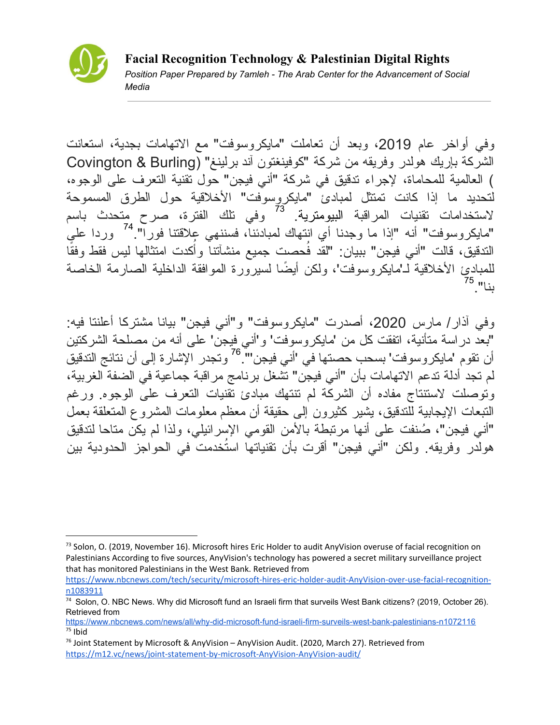

وفي أواخر عام 2019، وبعد أن تعاملت "مایكروسوفت" مع الاتهامات بجدیة، استعانت الشركة بإریك هولدر وفریقه من شركة "كوفینغتون آند برلینغ" (Burling & Covington ) العالمیة للمحاماة، لإجراء تدقیق في شركة "أني فیجن" حول تقنیة التعرف على الوجوه، لتحدید ما إذا كانت تمتثل لمبادئ "مایكروسوفت" الأخلاقیة حول الطرق المسموحة لاستخدامات تقنيات المراقبة البيومترية. <sup>73</sup> وفي تلك الفترة، صرح متحدث باسم "مايكروسوفت" أنه "إذا ما وجدنا أي انتهاك لمبادئناً، فسننهي علاقتنا فوراً".<sup>74</sup> وردا على ا كدت امتثالها لیس فقط وفقً ُ التدقیق، قالت "أني فیجن" ببیان: "لقد فُحصت جمیع منشآتنا وأ للمبادئ الأخلاقیة لـ'مایكروسوفت'، ولكن أیضًا لسیرورة الموافقة الداخلیة الصارمة الخاصة بنا". 75

وفي آذار/ مارس 2020، أصدرت "مايكروسوفت" و"أني فيجن" بيانا مشتركا أعلنتا فيه: "بعد دراسة متأنیة، اتفقت كل من 'مایكروسوفت' و'أني فیجن' على أنه من مصلحة الشركتین أن تقوم 'مايكروسوفت' بسحب حصنها في 'أني فيجن'''. <sup>76</sup> وتجدر الإشار ة إلى أن نتائج التدقيق لم تجد أدلة تدعم الاتهامات بأن "أني فیجن" تشغل برنامج مراقبة جماعیة في الضفة الغربیة، وتوصلت لاستنتاج مفاده أن الشركة لم تنتهك مبادئ تقنیات التعرف على الوجوه. ورغم التبعات الإیجابیة للتدقیق، یشیر كثیرون إلى حقیقة أن معظم معلومات المشروع المتعلقة بعمل "أني فیجن"، ُصنفت على أنها مرتبطة بالأمن القومي الإسرائیلي، ولذا لم یكن متاحا لتدقیق هولدر وفریقه. ولكن "أني فیجن" أقرت بأن تقنیاتها استُخدمت في الحواجز الحدودیة بین

 $^{73}$  Solon, O. (2019, November 16). Microsoft hires Eric Holder to audit AnyVision overuse of facial recognition on Palestinians According to five sources, AnyVision's technology has powered a secret military surveillance project that has monitored Palestinians in the West Bank. Retrieved from

[https://www.nbcnews.com/tech/security/microsoft-hires-eric-holder-audit-AnyVision-over-use-facial-recognition](https://www.nbcnews.com/tech/security/microsoft-hires-eric-holder-audit-anyvision-over-use-facial-recognition-n1083911)[n1083911](https://www.nbcnews.com/tech/security/microsoft-hires-eric-holder-audit-anyvision-over-use-facial-recognition-n1083911)

<sup>74</sup> Solon, O. NBC News. Why did Microsoft fund an Israeli firm that surveils West Bank citizens? (2019, October 26). Retrieved from

<https://www.nbcnews.com/news/all/why-did-microsoft-fund-israeli-firm-surveils-west-bank-palestinians-n1072116> <sup>75</sup> Ibid

<sup>&</sup>lt;sup>76</sup> Joint Statement by Microsoft & AnyVision – AnyVision Audit. (2020, March 27). Retrieved from [https://m12.vc/news/joint-statement-by-microsoft-AnyVision-AnyVision-audit/](https://m12.vc/news/joint-statement-by-microsoft-anyvision-anyvision-audit/)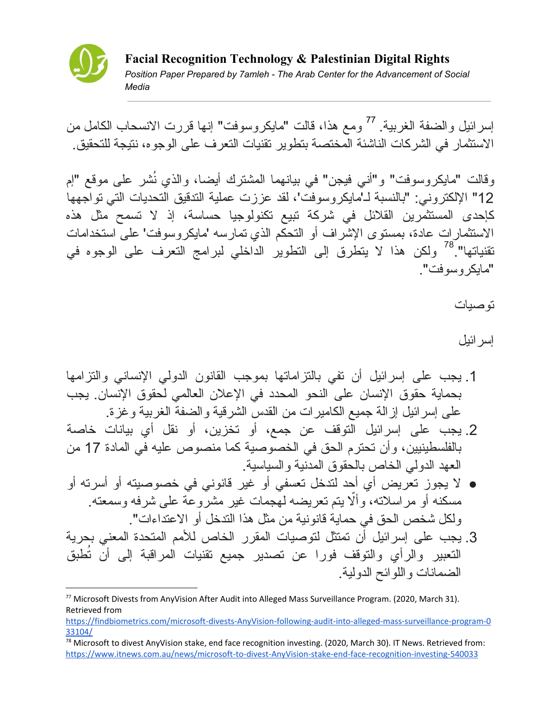

إسرائيل والضفة الغربية<sub>.</sub> <sup>77</sup> ومع هذا، قالت "مايكروسوفت" إنها قررت الانسحاب الكامل من الاستثمار في الشركات الناشئة المختصة بتطویر تقنیات التعرف على الوجوه، نتیجة للتحقیق.

وقالت "مایكروسوفت" و"أني فیجن" في بیانهما المشترك أیضا، والذي نُشر على موقع "إم 12" الإلكتروني: "بالنسبة لـ'مایكروسوفت'، لقد عززت عملیة التدقیق التحدیات التي تواجهها كإحدى المستثمرین القلائل في شركة تبیع تكنولوجیا حساسة، إذ لا تسمح مثل هذه الاستثمارات عادة، بمستوى الإشراف أو التحكم الذي تمارسه 'مایكروسوفت' على استخدامات تقنیاتها". ولكن هذا لا یتطرق إلى التطویر الداخلي لبرامج التعرف على الوجوه في 78 "مایكروسوفت".

توصیات

## إسرائیل

- .1 یجب على إسرائیل أن تفي بالتزاماتها بموجب القانون الدولي الإنساني والتزامها بحمایة حقوق الإنسان على النحو المحدد في الإعلان العالمي لحقوق الإنسان. یجب على إسرائیل إزالة جمیع الكامیرات من القدس الشرقیة والضفة الغربیة وغزة.
- .2 یجب على إسرائیل التوقف عن جمع، أو تخزین، أو نقل أي بیانات خاصة بالفلسطینیین، وأن تحترم الحق في الخصوصیة كما منصوص علیه في المادة 17 من العهد الدولي الخاص بالحقوق المدنیة والسیاسیة.
- لا یجوز تعریض أي أحد لتدخل تعسفي أو غیر قانوني في خصوصیته أو أسرته أو مسكنه أو مراسلاته، وألّا بنم تعریضه لمجمات غیر مشروعة على شرفه وسمعته. ولكل شخص الحق في حمایة قانونیة من مثل هذا التدخل أو الاعتداءات".
- .3 یجب على إسرائیل أن تمتثل لتوصیات المقرر الخاص للأمم المتحدة المعني بحریة التعبیر والرأي والتوقف فورا عن تصدیر جمیع تقنیات المراقبة إلى أن تُطبق الضمانات واللوائح الدولیة.

<sup>77</sup> Microsoft Divests from AnyVision After Audit into Alleged Mass Surveillance Program. (2020, March 31). Retrieved from

[https://findbiometrics.com/microsoft-divests-AnyVision-following-audit-into-alleged-mass-surveillance-program-0](https://findbiometrics.com/microsoft-divests-anyvision-following-audit-into-alleged-mass-surveillance-program-033104/) [33104/](https://findbiometrics.com/microsoft-divests-anyvision-following-audit-into-alleged-mass-surveillance-program-033104/)

 $^{78}$  Microsoft to divest AnyVision stake, end face recognition investing. (2020, March 30). IT News. Retrieved from: [https://www.itnews.com.au/news/microsoft-to-divest-AnyVision-stake-end-face-recognition-investing-540033](https://www.itnews.com.au/news/microsoft-to-divest-anyvision-stake-end-face-recognition-investing-540033)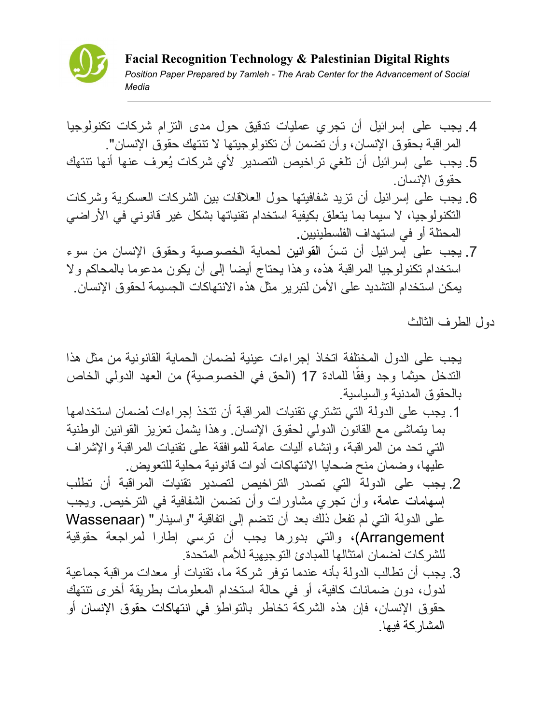

- .4 یجب على إسرائیل أن تجري عملیات تدقیق حول مدى التزام شركات تكنولوجیا المراقبة بحقوق الإنسان، وأن تضمن أن تكنولوجیتها لا تنتهك حقوق الإنسان".
- .5 یجب على إسرائیل أن تلغي تراخیص التصدیر لأي شركات ُیعرف عنها أنها تنتهك حقوق الإنسان.
- .6 یجب على إسرائیل أن تزید شفافیتها حول العلاقات بین الشركات العسكریة وشركات التكنولوجیا، لا سیما بما یتعلق بكیفیة استخدام تقنیاتها بشكل غیر قانوني في الأراضي المحتلة أو في استهداف الفلسطینیین.
- 7. یجب علی إسر ائیل أن تسنّ القوانین لحمایة الخصوصیة وحقوق الإنسان من سوء استخدام تكنولوجیا المراقبة هذه، وهذا یحتاج أیضا إلى أن یكون مدعوما بالمحاكم ولا یمكن استخدام التشدید على الأمن لتبریر مثل هذه الانتهاكات الجسیمة لحقوق الإنسان.

دول الطرف الثالث

یجب على الدول المختلفة اتخاذ إجراءات عینیة لضمان الحمایة القانونیة من مثل هذا الندخل حيثما وجد وفقًا للمادة 17 (الحق في الخصوصية) من العهد الدولي الخاص بالحقوق المدنیة والسیاسیة.

- .1 یجب على الدولة التي تشتري تقنیات المراقبة أن تتخذ إجراءات لضمان استخدامها بما یتماشى مع القانون الدولي لحقوق الإنسان. وهذا یشمل تعزیز القوانین الوطنیة التي تحد من المراقبة، وإنشاء آلیات عامة للموافقة على تقنیات المراقبة والإشراف علیها، وضمان منح ضحایا الانتهاكات أدوات قانونیة محلیة للتعویض.
- .2 یجب على الدولة التي تصدر التراخیص لتصدیر تقنیات المراقبة أن تطلب إسهامات عامة، وأن تجري مشاورات وأن تضمن الشفافیة في الترخیص. ویجب على الدولة التي لم تفعل ذلك بعد أن تنضم إلى اتفاقیة "واسینار" (Wassenaar Arrangement(، والتي بدورها یجب أن ترسي إطارا لمراجعة حقوقیة للشركات لضمان امتثالها للمبادئ التوجیهیة للأمم المتحدة.
- .3 یجب أن تطالب الدولة بأنه عندما توفر شركة ما، تقنیات أو معدات مراقبة جماعیة لدول، دون ضمانات كافیة، أو في حالة استخدام المعلومات بطریقة أخرى تنتهك حقوق الإنسان، فإن هذه الشركة تخاطر بالتواطؤ في انتهاكات حقوق الإنسان أو المشاركة فیها.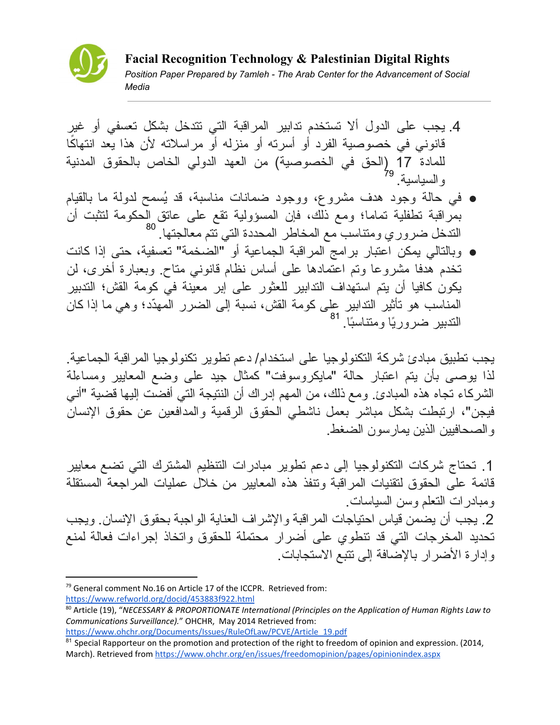

- .4 یجب على الدول ألا تستخدم تدابیر المراقبة التي تتدخل بشكل تعسفي أو غیر ا قانوني في خصوصیة الفرد أو أسرته أو منزله أو مراسلاته لأن هذا یعد انتهاكً للمادة 17 (الحق في الخصوصیة) من العهد الدولي الخاص بالحقوق المدنیة و السياسية<sub>-</sub> <sup>79</sup>
- في حالة وجود هدف مشروع، ووجود ضمانات مناسبة، قد ُیسمح لدولة ما بالقیام بمراقبة تطفلیة تماما؛ ومع ذلك، فإن المسؤولیة تقع على عاتق الحكومة لتثبت أن التدخل ضروري ومتناسب مع المخاطر المحددة التي تتم معالجتها. 80
- وبالتالي یمكن اعتبار برامج المراقبة الجماعیة أو "الضخمة" تعسفیة، حتى إذا كانت تخدم هدفا مشروعا وتم اعتمادها على أساس نظام قانوني متاح. وبعبارة أخرى، لن یكون كافیا أن یتم استهداف التدابیر للعثور على إبر معینة في كومة القش؛ التدبیر المناسب هو تأثیر التدابیر على كومة القش، نسبة إلى الضرر المهّدد؛ وهي ما إذا كان التدبیر ضرورًیا ومتناسًبا. 81

یجب تطبیق مبادئ شركة التكنولوجیا على استخدام/ دعم تطویر تكنولوجیا المراقبة الجماعیة. لذا یوصى بأن یتم اعتبار حالة "مایكروسوفت" كمثال جید على وضع المعاییر ومساءلة الشركاء تجاه هذه المبادئ. ومع ذلك، من المهم إدراك أن النتیجة التي أفضت إلیها قضیة "أني فیجن"، ارتبطت بشكل مباشر بعمل ناشطي الحقوق الرقمیة والمدافعین عن حقوق الإنسان والصحافیین الذین یمارسون الضغط.

.1 تحتاج شركات التكنولوجیا إلى دعم تطویر مبادرات التنظیم المشترك التي تضع معاییر قائمة على الحقوق لتقنیات المراقبة وتنفذ هذه المعاییر من خلال عملیات المراجعة المستقلة ومبادرات التعلم وسن السیاسات. .2 یجب أن یضمن قیاس احتیاجات المراقبة والإشراف العنایة الواجبة بحقوق الإنسان. ویجب تحدید المخرجات التي قد تنطوي على أضرار محتملة للحقوق واتخاذ إجراءات فعالة لمنع وإدارة الأضرار بالإضافة إلى تتبع الاستجابات.

<sup>&</sup>lt;sup>79</sup> General comment No.16 on Article 17 of the ICCPR. Retrieved from: <https://www.refworld.org/docid/453883f922.html>

<sup>80</sup> Article (19), "*NECESSARY & PROPORTIONATE International (Principles on the Application of Human Rights Law to Communications Surveillance).*" OHCHR, May 2014 Retrieved from:

[https://www.ohchr.org/Documents/Issues/RuleOfLaw/PCVE/Article\\_19.pdf](https://www.ohchr.org/Documents/Issues/RuleOfLaw/PCVE/Article_19.pdf)

<sup>&</sup>lt;sup>81</sup> Special Rapporteur on the promotion and protection of the right to freedom of opinion and expression. (2014, March). Retrieved from <https://www.ohchr.org/en/issues/freedomopinion/pages/opinionindex.aspx>